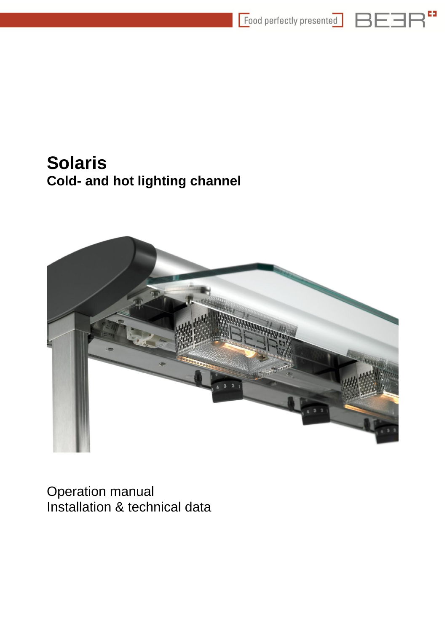



# **Solaris Cold- and hot lighting channel**



<span id="page-0-0"></span>Operation manual Installation & technical data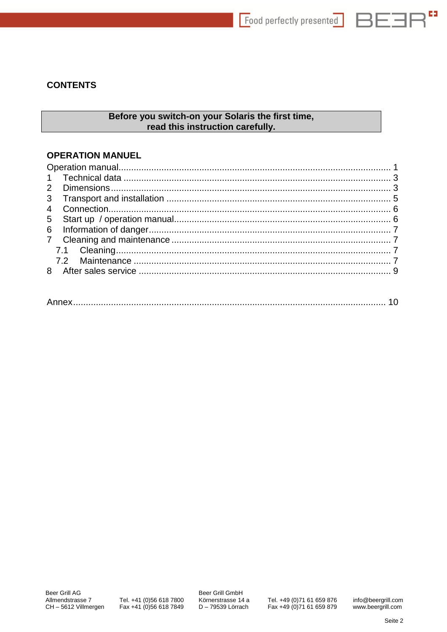$\mathbb{R}^{\mathbf{c}}$ 

ヨヒコド

## **CONTENTS**

## Before you switch-on your Solaris the first time, read this instruction carefully.

### **OPERATION MANUEL**

|--|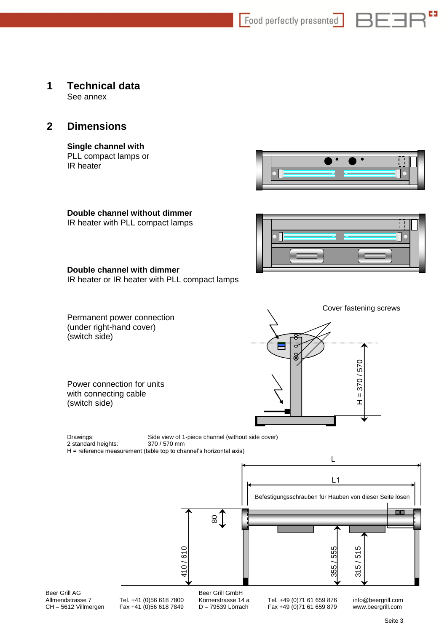Food perfectly presented

### <span id="page-2-0"></span>**1 Technical data** See annex

## <span id="page-2-1"></span>**2 Dimensions**

### **Single channel with**

PLL compact lamps or IR heater



ヨロ

### **Double channel without dimmer**

IR heater with PLL compact lamps



### **Double channel with dimmer**

IR heater or IR heater with PLL compact lamps

Permanent power connection (under right-hand cover) (switch side)

Power connection for units with connecting cable (switch side)



Drawings: Side view of 1-piece channel (without side cover) 2 standard heights: 370 / 570 mm H = reference measurement (table top to channel's horizontal axis)

L  $L1$ Befestigungsschrauben für Hauben von dieser Seite lösen П  $\frac{8}{2}$ 315 / 515 410 / 61055 / 555 Beer Grill AG Beer Grill GmbH<br>Allmendstrasse 7 Tel. +41 (0)56 618 7800 Körnerstrasse 14 Allmendstrasse 7 Tel. +41 (0)56 618 7800 Körnerstrasse 14 a Tel. +49 (0)71 61 659 876 info@beergrill.com<br>CH – 5612 Villmergen Fax +41 (0)56 618 7849 D – 79539 Lörrach Fax +49 (0)71 61 659 879 www.beergrill.com Fax +49 (0)71 61 659 879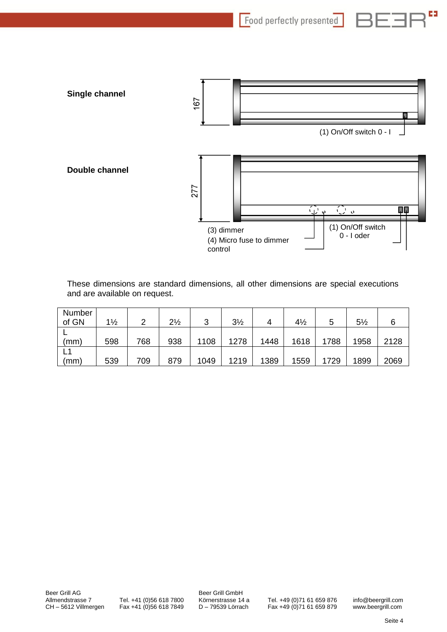63 Food perfectly presented



These dimensions are standard dimensions, all other dimensions are special executions and are available on request.

| Number |                |     |                |        |                |      |                |      |                |      |
|--------|----------------|-----|----------------|--------|----------------|------|----------------|------|----------------|------|
| of GN  | $1\frac{1}{2}$ |     | $2\frac{1}{2}$ | ≏<br>J | $3\frac{1}{2}$ |      | $4\frac{1}{2}$ | 5    | $5\frac{1}{2}$ |      |
|        |                |     |                |        |                |      |                |      |                |      |
| (mm)   | 598            | 768 | 938            | 1108   | 1278           | 1448 | 1618           | 1788 | 1958           | 2128 |
|        |                |     |                |        |                |      |                |      |                |      |
| (mm)   | 539            | 709 | 879            | 1049   | 1219           | 1389 | 1559           | 1729 | 1899           | 2069 |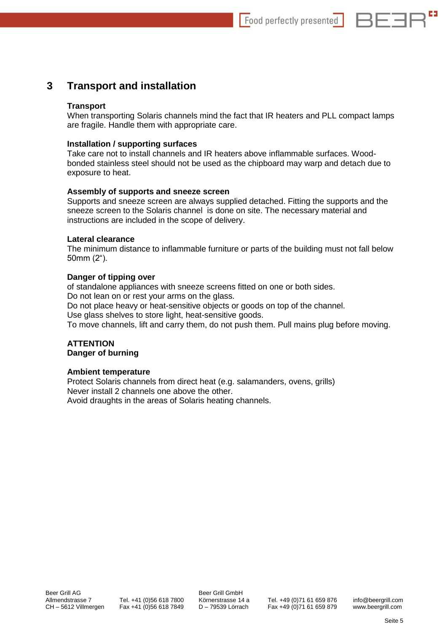

## <span id="page-4-0"></span>**3 Transport and installation**

### **Transport**

When transporting Solaris channels mind the fact that IR heaters and PLL compact lamps are fragile. Handle them with appropriate care.

### **Installation / supporting surfaces**

Take care not to install channels and IR heaters above inflammable surfaces. Woodbonded stainless steel should not be used as the chipboard may warp and detach due to exposure to heat.

### **Assembly of supports and sneeze screen**

Supports and sneeze screen are always supplied detached. Fitting the supports and the sneeze screen to the Solaris channel is done on site. The necessary material and instructions are included in the scope of delivery.

### **Lateral clearance**

The minimum distance to inflammable furniture or parts of the building must not fall below 50mm (2").

### **Danger of tipping over**

of standalone appliances with sneeze screens fitted on one or both sides. Do not lean on or rest your arms on the glass.

Do not place heavy or heat-sensitive objects or goods on top of the channel.

Use glass shelves to store light, heat-sensitive goods.

To move channels, lift and carry them, do not push them. Pull mains plug before moving.

### **ATTENTION Danger of burning**

### **Ambient temperature**

Protect Solaris channels from direct heat (e.g. salamanders, ovens, grills) Never install 2 channels one above the other. Avoid draughts in the areas of Solaris heating channels.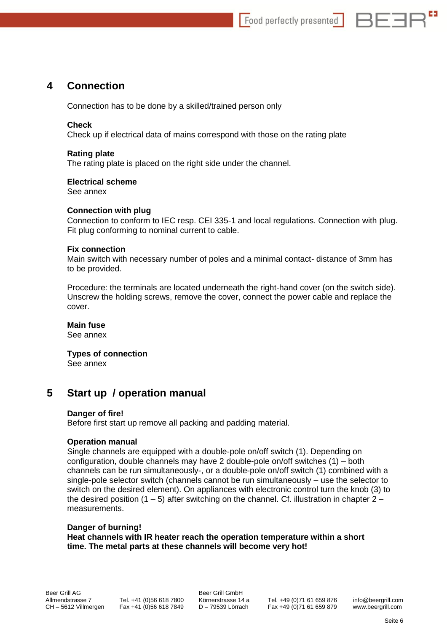

## <span id="page-5-0"></span>**4 Connection**

Connection has to be done by a skilled/trained person only

### **Check**

Check up if electrical data of mains correspond with those on the rating plate

### **Rating plate**

The rating plate is placed on the right side under the channel.

### **Electrical scheme**

See annex

### **Connection with plug**

Connection to conform to IEC resp. CEI 335-1 and local regulations. Connection with plug. Fit plug conforming to nominal current to cable.

### **Fix connection**

Main switch with necessary number of poles and a minimal contact- distance of 3mm has to be provided.

Procedure: the terminals are located underneath the right-hand cover (on the switch side). Unscrew the holding screws, remove the cover, connect the power cable and replace the cover.

### **Main fuse**

See annex

## **Types of connection**

See annex

## <span id="page-5-1"></span>**5 Start up / operation manual**

### **Danger of fire!**

Before first start up remove all packing and padding material.

### **Operation manual**

Single channels are equipped with a double-pole on/off switch (1). Depending on configuration, double channels may have 2 double-pole on/off switches (1) – both channels can be run simultaneously-, or a double-pole on/off switch (1) combined with a single-pole selector switch (channels cannot be run simultaneously – use the selector to switch on the desired element). On appliances with electronic control turn the knob (3) to the desired position  $(1 – 5)$  after switching on the channel. Cf. illustration in chapter  $2 –$ measurements.

### **Danger of burning! Heat channels with IR heater reach the operation temperature within a short time. The metal parts at these channels will become very hot!**

Allmendstrasse 7 Tel. +41 (0)56 618 7800 Körnerstrasse 14 a Tel. +49 (0)71 61 659 876 info@beergrill.com<br>CH – 5612 Villmergen Fax +41 (0)56 618 7849 D – 79539 Lörrach Fax +49 (0)71 61 659 879 www.beergrill.com CH – 5612 Villmergen Fax +41 (0)56 618 7849 D – 79539 Lörrach Fax +49 (0)71 61 659 879 www.beergrill.com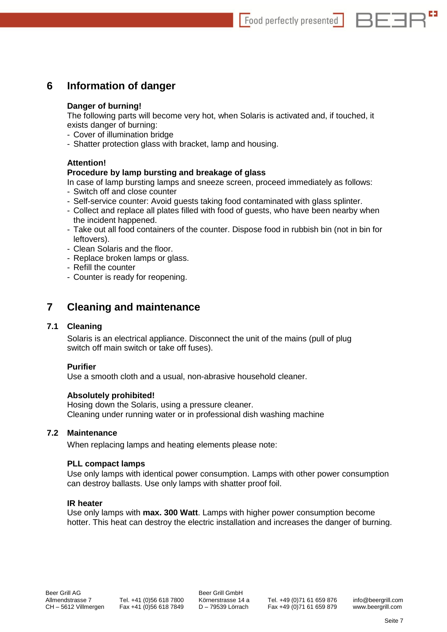

## <span id="page-6-0"></span>**6 Information of danger**

### **Danger of burning!**

The following parts will become very hot, when Solaris is activated and, if touched, it exists danger of burning:

- Cover of illumination bridge
- Shatter protection glass with bracket, lamp and housing.

### **Attention!**

### **Procedure by lamp bursting and breakage of glass**

In case of lamp bursting lamps and sneeze screen, proceed immediately as follows:

- Switch off and close counter
- Self-service counter: Avoid guests taking food contaminated with glass splinter.
- Collect and replace all plates filled with food of guests, who have been nearby when the incident happened.
- Take out all food containers of the counter. Dispose food in rubbish bin (not in bin for leftovers).
- Clean Solaris and the floor.
- Replace broken lamps or glass.
- Refill the counter
- Counter is ready for reopening.

## <span id="page-6-1"></span>**7 Cleaning and maintenance**

### <span id="page-6-2"></span>**7.1 Cleaning**

Solaris is an electrical appliance. Disconnect the unit of the mains (pull of plug switch off main switch or take off fuses).

### **Purifier**

Use a smooth cloth and a usual, non-abrasive household cleaner.

### **Absolutely prohibited!**

Hosing down the Solaris, using a pressure cleaner. Cleaning under running water or in professional dish washing machine

### <span id="page-6-3"></span>**7.2 Maintenance**

When replacing lamps and heating elements please note:

### **PLL compact lamps**

Use only lamps with identical power consumption. Lamps with other power consumption can destroy ballasts. Use only lamps with shatter proof foil.

### **IR heater**

Use only lamps with **max. 300 Watt**. Lamps with higher power consumption become hotter. This heat can destroy the electric installation and increases the danger of burning.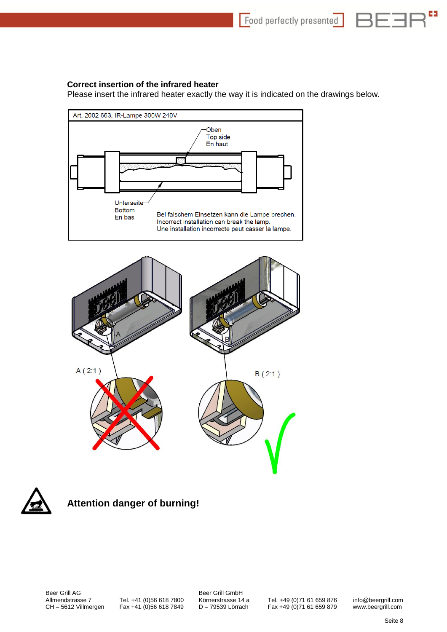63

### **Correct insertion of the infrared heater**

Please insert the infrared heater exactly the way it is indicated on the drawings below.







## **Attention danger of burning!**

Beer Grill AG Beer Grill GmbH<br>Allmendstrasse 7 Tel. +41 (0)56 618 7800 Körnerstrasse 14

Allmendstrasse 7 Tel. +41 (0)56 618 7800 Körnerstrasse 14 a Tel. +49 (0)71 61 659 876 info@beergrill.com<br>CH – 5612 Villmergen Fax +41 (0)56 618 7849 D – 79539 Lörrach Fax +49 (0)71 61 659 879 www.beergrill.com Fax +49 (0)71 61 659 879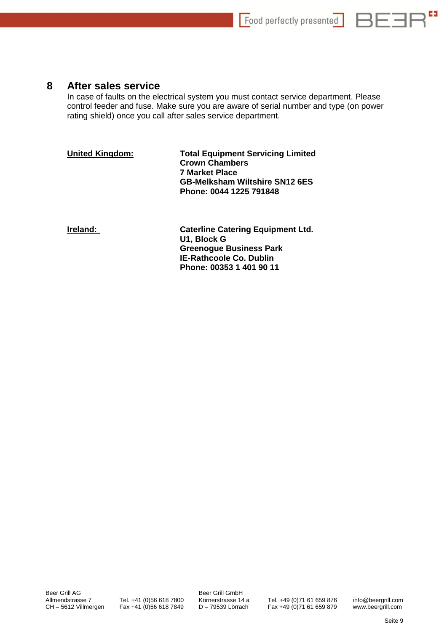

## <span id="page-8-0"></span>**8 After sales service**

In case of faults on the electrical system you must contact service department. Please control feeder and fuse. Make sure you are aware of serial number and type (on power rating shield) once you call after sales service department.

**United Kingdom: Total Equipment Servicing Limited Crown Chambers 7 Market Place GB-Melksham Wiltshire SN12 6ES Phone: 0044 1225 791848**

**Ireland:** Caterline Catering Equipment Ltd. **U1, Block G Greenogue Business Park IE-Rathcoole Co. Dublin Phone: 00353 1 401 90 11**

Beer Grill AG Beer Grill GmbH<br>Allmendstrasse 7 Tel. +41 (0)56 618 7800 Körnerstrasse 14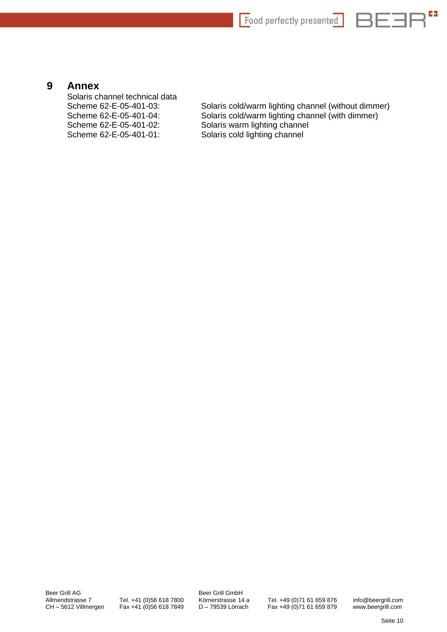

## <span id="page-9-0"></span>**9 Annex**

Solaris channel technical data Scheme 62-E-05-401-02: Solaris warm lighting channel<br>Scheme 62-E-05-401-01: Solaris cold lighting channel

Scheme 62-E-05-401-03: Solaris cold/warm lighting channel (without dimmer) Scheme 62-E-05-401-04: Solaris cold/warm lighting channel (with dimmer) Solaris cold lighting channel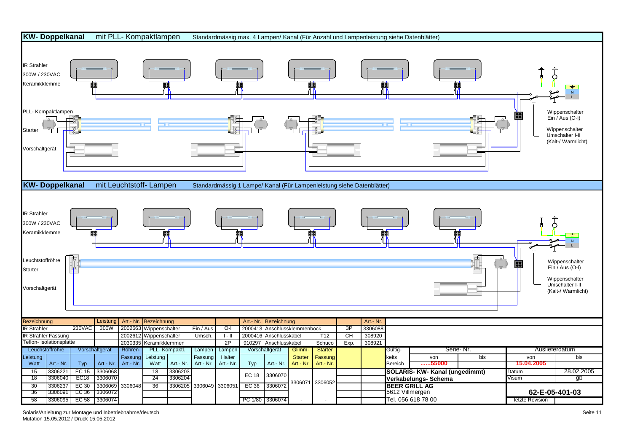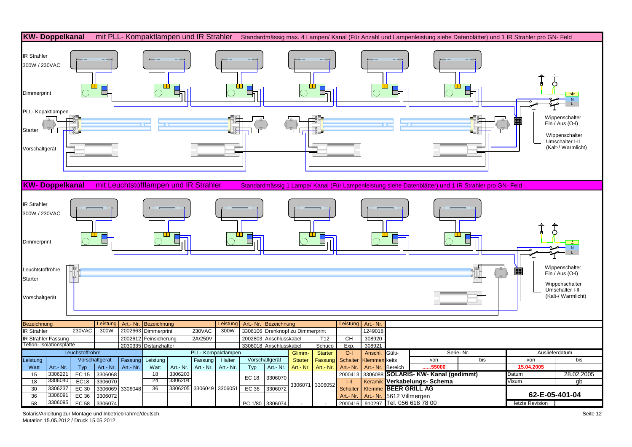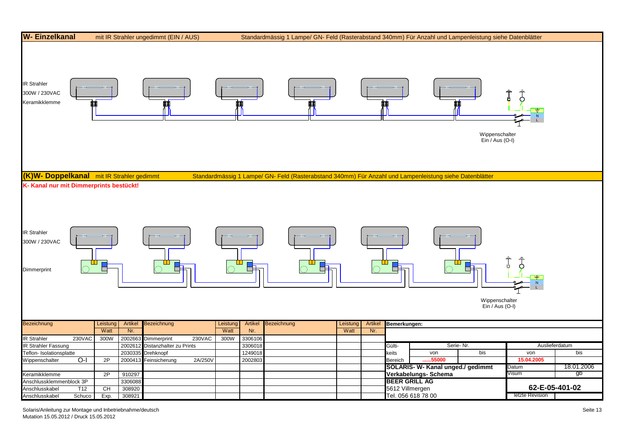